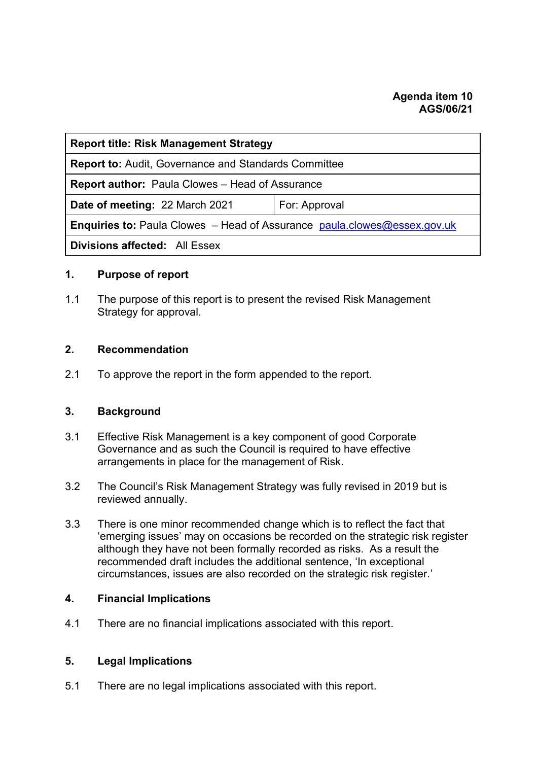| <b>Report title: Risk Management Strategy</b>                                   |               |
|---------------------------------------------------------------------------------|---------------|
| <b>Report to: Audit, Governance and Standards Committee</b>                     |               |
| <b>Report author:</b> Paula Clowes – Head of Assurance                          |               |
| Date of meeting: 22 March 2021                                                  | For: Approval |
| <b>Enquiries to:</b> Paula Clowes – Head of Assurance paula.clowes@essex.gov.uk |               |
| <b>Divisions affected: All Essex</b>                                            |               |

#### **1. Purpose of report**

1.1 The purpose of this report is to present the revised Risk Management Strategy for approval.

### **2. Recommendation**

2.1 To approve the report in the form appended to the report.

#### **3. Background**

- 3.1 Effective Risk Management is a key component of good Corporate Governance and as such the Council is required to have effective arrangements in place for the management of Risk.
- 3.2 The Council's Risk Management Strategy was fully revised in 2019 but is reviewed annually.
- 3.3 There is one minor recommended change which is to reflect the fact that 'emerging issues' may on occasions be recorded on the strategic risk register although they have not been formally recorded as risks. As a result the recommended draft includes the additional sentence, 'In exceptional circumstances, issues are also recorded on the strategic risk register.'

## **4. Financial Implications**

4.1 There are no financial implications associated with this report.

## **5. Legal Implications**

5.1 There are no legal implications associated with this report.